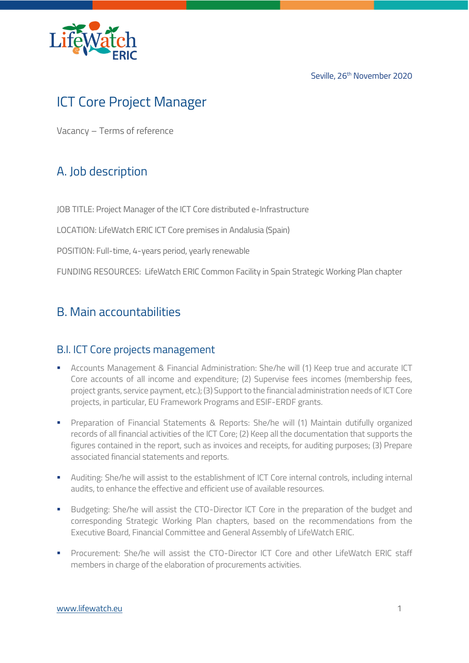

Seville, 26<sup>th</sup> November 2020

# ICT Core Project Manager

Vacancy – Terms of reference

### A. Job description

JOB TITLE: Project Manager of the ICT Core distributed e-Infrastructure

LOCATION: LifeWatch ERIC ICT Core premises in Andalusia (Spain)

POSITION: Full-time, 4-years period, yearly renewable

FUNDING RESOURCES: LifeWatch ERIC Common Facility in Spain Strategic Working Plan chapter

### B. Main accountabilities

### B.I. ICT Core projects management

- Accounts Management & Financial Administration: She/he will (1) Keep true and accurate ICT Core accounts of all income and expenditure; (2) Supervise fees incomes (membership fees, project grants, service payment, etc.); (3) Support to the financial administration needs of ICT Core projects, in particular, EU Framework Programs and ESIF-ERDF grants.
- **•** Preparation of Financial Statements & Reports: She/he will (1) Maintain dutifully organized records of all financial activities of the ICT Core; (2) Keep all the documentation that supports the figures contained in the report, such as invoices and receipts, for auditing purposes; (3) Prepare associated financial statements and reports.
- **■** Auditing: She/he will assist to the establishment of ICT Core internal controls, including internal audits, to enhance the effective and efficient use of available resources.
- Budgeting: She/he will assist the CTO-Director ICT Core in the preparation of the budget and corresponding Strategic Working Plan chapters, based on the recommendations from the Executive Board, Financial Committee and General Assembly of LifeWatch ERIC.
- Procurement: She/he will assist the CTO-Director ICT Core and other LifeWatch ERIC staff members in charge of the elaboration of procurements activities.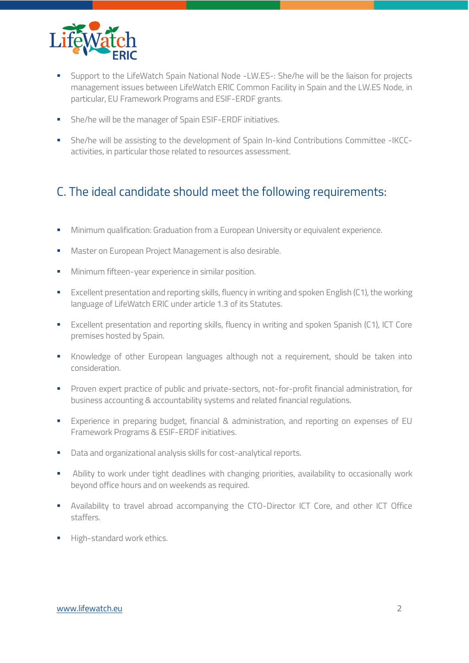

- Support to the LifeWatch Spain National Node -LW.ES-: She/he will be the liaison for projects management issues between LifeWatch ERIC Common Facility in Spain and the LW.ES Node, in particular, EU Framework Programs and ESIF-ERDF grants.
- **•** She/he will be the manager of Spain ESIF-ERDF initiatives.
- She/he will be assisting to the development of Spain In-kind Contributions Committee -IKCCactivities, in particular those related to resources assessment.

## C. The ideal candidate should meet the following requirements:

- **■** Minimum qualification: Graduation from a European University or equivalent experience.
- Master on European Project Management is also desirable.
- **■** Minimum fifteen-year experience in similar position.
- Excellent presentation and reporting skills, fluency in writing and spoken English (C1), the working language of LifeWatch ERIC under article 1.3 of its Statutes.
- Excellent presentation and reporting skills, fluency in writing and spoken Spanish (C1), ICT Core premises hosted by Spain.
- **EXECT** Knowledge of other European languages although not a requirement, should be taken into consideration.
- **•** Proven expert practice of public and private-sectors, not-for-profit financial administration, for business accounting & accountability systems and related financial regulations.
- **Experience in preparing budget, financial & administration, and reporting on expenses of EU** Framework Programs & ESIF-ERDF initiatives.
- Data and organizational analysis skills for cost-analytical reports.
- **EXECT** Ability to work under tight deadlines with changing priorities, availability to occasionally work beyond office hours and on weekends as required.
- **EXECT** Availability to travel abroad accompanying the CTO-Director ICT Core, and other ICT Office staffers.
- **■** High-standard work ethics.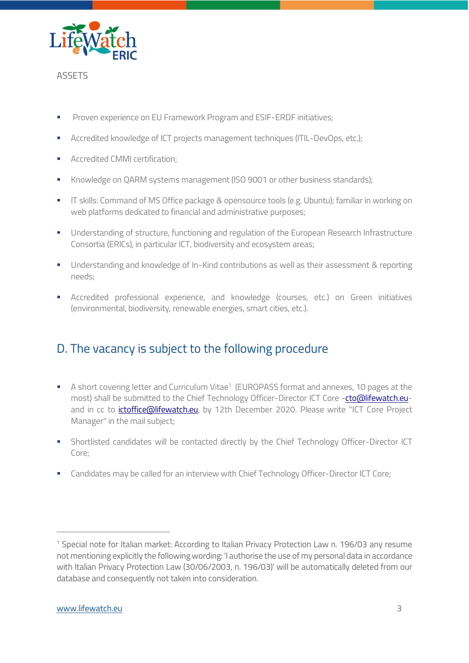

#### **ASSETS**

- Proven experience on EU Framework Program and ESIF-ERDF initiatives:
- Accredited knowledge of ICT projects management techniques (ITIL-DevOps, etc.);
- Accredited CMMI certification;
- **EXECT** Knowledge on QARM systems management (ISO 9001 or other business standards);
- **T** IT skills: Command of MS Office package & opensource tools (e.g. Ubuntu); familiar in working on web platforms dedicated to financial and administrative purposes;
- **■** Understanding of structure, functioning and regulation of the European Research Infrastructure Consortia (ERICs), in particular ICT, biodiversity and ecosystem areas;
- **•** Understanding and knowledge of In-Kind contributions as well as their assessment & reporting needs;
- Accredited professional experience, and knowledge (courses, etc.) on Green initiatives (environmental, biodiversity, renewable energies, smart cities, etc.).

### D. The vacancy is subject to the following procedure

- A short covering letter and Curriculum Vitae<sup>1</sup> (EUROPASS format and annexes, 10 pages at the most) shall be submitted to the Chief Technology Officer-Director ICT Core [-cto@lifewatch.eu](mailto:cto@lifewatch.eu)and in cc to *ictoffice@lifewatch.eu*, by 12th December 2020. Please write "ICT Core Project Manager" in the mail subject;
- **·** Shortlisted candidates will be contacted directly by the Chief Technology Officer-Director ICT Core;
- **EXEC** Candidates may be called for an interview with Chief Technology Officer-Director ICT Core;

<sup>&</sup>lt;sup>1</sup> Special note for Italian market: According to Italian Privacy Protection Law n. 196/03 any resume not mentioning explicitly the following wording: 'I authorise the use of my personal data in accordance with Italian Privacy Protection Law (30/06/2003, n. 196/03)' will be automatically deleted from our database and consequently not taken into consideration.